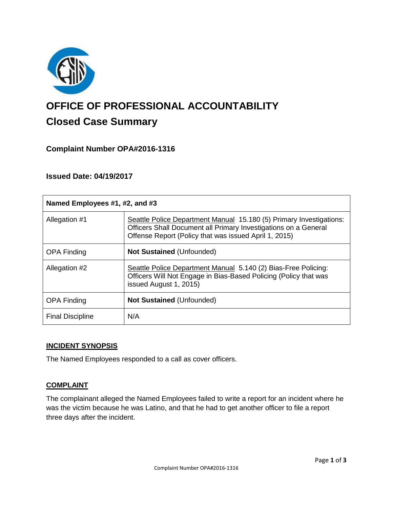

# **OFFICE OF PROFESSIONAL ACCOUNTABILITY Closed Case Summary**

## **Complaint Number OPA#2016-1316**

## **Issued Date: 04/19/2017**

| Named Employees #1, #2, and #3 |                                                                                                                                                                                                 |
|--------------------------------|-------------------------------------------------------------------------------------------------------------------------------------------------------------------------------------------------|
| Allegation #1                  | Seattle Police Department Manual 15.180 (5) Primary Investigations:<br>Officers Shall Document all Primary Investigations on a General<br>Offense Report (Policy that was issued April 1, 2015) |
| <b>OPA Finding</b>             | <b>Not Sustained (Unfounded)</b>                                                                                                                                                                |
| Allegation #2                  | Seattle Police Department Manual 5.140 (2) Bias-Free Policing:<br>Officers Will Not Engage in Bias-Based Policing (Policy that was<br>issued August 1, 2015)                                    |
| <b>OPA Finding</b>             | <b>Not Sustained (Unfounded)</b>                                                                                                                                                                |
| <b>Final Discipline</b>        | N/A                                                                                                                                                                                             |

#### **INCIDENT SYNOPSIS**

The Named Employees responded to a call as cover officers.

#### **COMPLAINT**

The complainant alleged the Named Employees failed to write a report for an incident where he was the victim because he was Latino, and that he had to get another officer to file a report three days after the incident.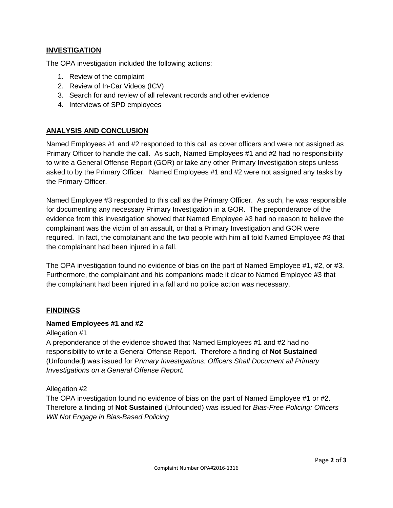## **INVESTIGATION**

The OPA investigation included the following actions:

- 1. Review of the complaint
- 2. Review of In-Car Videos (ICV)
- 3. Search for and review of all relevant records and other evidence
- 4. Interviews of SPD employees

## **ANALYSIS AND CONCLUSION**

Named Employees #1 and #2 responded to this call as cover officers and were not assigned as Primary Officer to handle the call. As such, Named Employees #1 and #2 had no responsibility to write a General Offense Report (GOR) or take any other Primary Investigation steps unless asked to by the Primary Officer. Named Employees #1 and #2 were not assigned any tasks by the Primary Officer.

Named Employee #3 responded to this call as the Primary Officer. As such, he was responsible for documenting any necessary Primary Investigation in a GOR. The preponderance of the evidence from this investigation showed that Named Employee #3 had no reason to believe the complainant was the victim of an assault, or that a Primary Investigation and GOR were required. In fact, the complainant and the two people with him all told Named Employee #3 that the complainant had been injured in a fall.

The OPA investigation found no evidence of bias on the part of Named Employee #1, #2, or #3. Furthermore, the complainant and his companions made it clear to Named Employee #3 that the complainant had been injured in a fall and no police action was necessary.

#### **FINDINGS**

#### **Named Employees #1 and #2**

Allegation #1

A preponderance of the evidence showed that Named Employees #1 and #2 had no responsibility to write a General Offense Report. Therefore a finding of **Not Sustained** (Unfounded) was issued for *Primary Investigations: Officers Shall Document all Primary Investigations on a General Offense Report.*

#### Allegation #2

The OPA investigation found no evidence of bias on the part of Named Employee #1 or #2. Therefore a finding of **Not Sustained** (Unfounded) was issued for *Bias-Free Policing: Officers Will Not Engage in Bias-Based Policing*